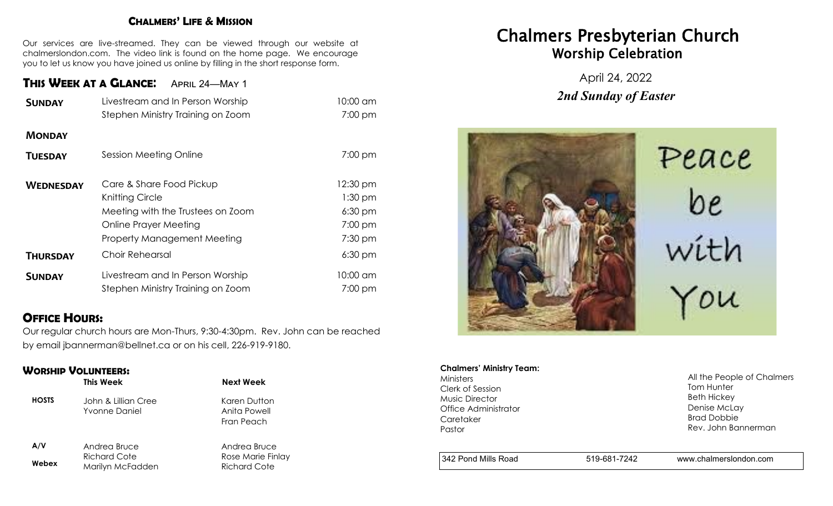#### **CHALMERS' LIFE & MISSION**

Our services are live-streamed. They can be viewed through our website at chalmerslondon.com. The video link is found on the home page. We encourage you to let us know you have joined us online by filling in the short response form.

# **THIS WEEK AT <sup>A</sup> GLANCE**: April 24—May 1

| <b>SUNDAY</b>    | Livestream and In Person Worship                                                                                                                | 10:00 am                                                   |
|------------------|-------------------------------------------------------------------------------------------------------------------------------------------------|------------------------------------------------------------|
|                  | Stephen Ministry Training on Zoom                                                                                                               | 7:00 pm                                                    |
| <b>MONDAY</b>    |                                                                                                                                                 |                                                            |
| <b>TUESDAY</b>   | Session Meeting Online                                                                                                                          | $7:00$ pm                                                  |
| <b>WEDNESDAY</b> | Care & Share Food Pickup<br>Knitting Circle<br>Meeting with the Trustees on Zoom<br><b>Online Prayer Meeting</b><br>Property Management Meeting | 12:30 pm<br>$1:30$ pm<br>$6:30$ pm<br>7:00 pm<br>$7:30$ pm |
| <b>THURSDAY</b>  | Choir Rehearsal                                                                                                                                 | $6:30$ pm                                                  |
| <b>SUNDAY</b>    | Livestream and In Person Worship<br>Stephen Ministry Training on Zoom                                                                           | 10:00 am<br>$7:00$ pm                                      |

# **OFFICE HOURS:**

Our regular church hours are Mon-Thurs, 9:30-4:30pm. Rev. John can be reached by email jbannerman@bellnet.ca or on his cell, 226-919-9180.

### **WORSHIP VOLUNTEERS:**

|              | This Week                                   | Next Week                                  |
|--------------|---------------------------------------------|--------------------------------------------|
| <b>HOSTS</b> | John & Lillian Cree<br><b>Yvonne Daniel</b> | Karen Dutton<br>Anita Powell<br>Fran Peach |
| A/V          | Andrea Bruce                                | Andrea Bruce                               |
| Webex        | <b>Richard Cote</b><br>Marilyn McFadden     | Rose Marie Finlay<br><b>Richard Cote</b>   |

# Chalmers Presbyterian Church Worship Celebration

April 24, 2022 *2nd Sunday of Easter*



#### **Chalmers' Ministry Team:**

Ministers Clerk of Session Music Director Office Administrator **Caretaker** Pastor

All the People of Chalmers Tom Hunter Beth Hickey Denise McLay Brad Dobbie Rev. John Bannerman

342 Pond Mills Road 519-681-7242 www.chalmerslondon.com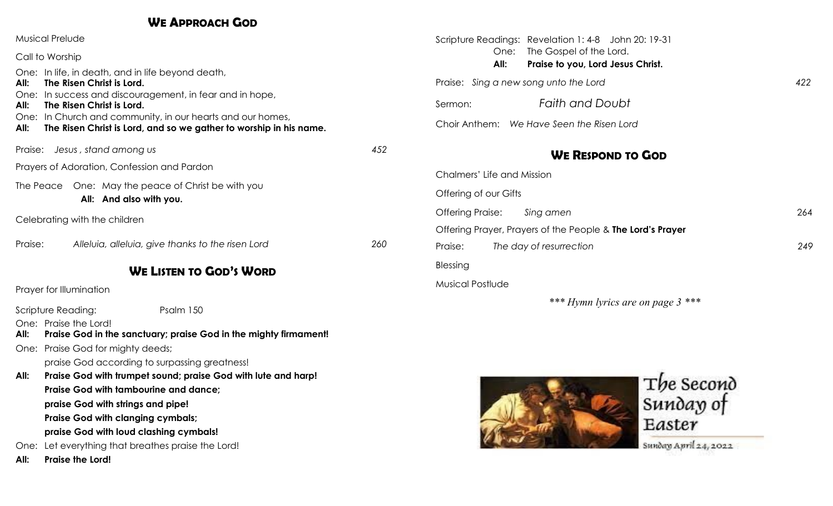# **WE APPROACH GOD**

| <b>Musical Prelude</b>                                                                                                                   |        | Scripture Readings: Revelation 1: 4-8 John 20: 19-31                         |     |
|------------------------------------------------------------------------------------------------------------------------------------------|--------|------------------------------------------------------------------------------|-----|
| Call to Worship                                                                                                                          |        | The Gospel of the Lord.<br>One:<br>All:<br>Praise to you, Lord Jesus Christ. |     |
| One: In life, in death, and in life beyond death,<br>The Risen Christ is Lord.<br>All:                                                   |        | Praise: Sing a new song unto the Lord                                        |     |
| In success and discouragement, in fear and in hope,<br>One:<br>The Risen Christ is Lord.<br>All:                                         |        | <b>Faith and Doubt</b><br>Sermon:                                            |     |
| One: In Church and community, in our hearts and our homes,<br>The Risen Christ is Lord, and so we gather to worship in his name.<br>All: |        | Choir Anthem: We Have Seen the Risen Lord                                    |     |
| Praise: Jesus, stand among us<br>Prayers of Adoration, Confession and Pardon                                                             |        | <b>WE RESPOND TO GOD</b>                                                     |     |
|                                                                                                                                          |        | Chalmers' Life and Mission                                                   |     |
| The Peace One: May the peace of Christ be with you                                                                                       |        |                                                                              |     |
| All: And also with you.                                                                                                                  |        | Offering of our Gifts                                                        |     |
| Celebrating with the children                                                                                                            |        | <b>Offering Praise:</b><br>Sing amen                                         | 264 |
|                                                                                                                                          |        | Offering Prayer, Prayers of the People & The Lord's Prayer                   |     |
| Alleluia, alleluia, give thanks to the risen Lord<br>Praise:                                                                             | 260    | Praise:<br>The day of resurrection                                           | 249 |
| <b>WE LISTEN TO GOD'S WORD</b>                                                                                                           |        | Blessing                                                                     |     |
| Prayer for Illumination                                                                                                                  |        | <b>Musical Postlude</b>                                                      |     |
|                                                                                                                                          |        | *** Hymn lyrics are on page 3 ***                                            |     |
| <b>Scripture Reading:</b><br>Psalm 150                                                                                                   |        |                                                                              |     |
| One: Praise the Lord!<br>Praise God in the sanctuary; praise God in the mighty firmament!<br>All:                                        |        |                                                                              |     |
| One: Praise God for mighty deeds;                                                                                                        |        |                                                                              |     |
| praise God according to surpassing greatness!                                                                                            |        |                                                                              |     |
| Praise God with trumpet sound; praise God with lute and harp!<br>All:                                                                    |        | The Second                                                                   |     |
| <b>Praise God with tambourine and dance:</b>                                                                                             |        |                                                                              |     |
| praise God with strings and pipe!                                                                                                        |        | Sunday of                                                                    |     |
| <b>Praise God with clanging cymbals;</b>                                                                                                 | Easter |                                                                              |     |
| praise God with loud clashing cymbals!                                                                                                   |        | Sunday April 24, 2022                                                        |     |
| One: Let everything that breathes praise the Lord!                                                                                       |        |                                                                              |     |

**All: Praise the Lord!**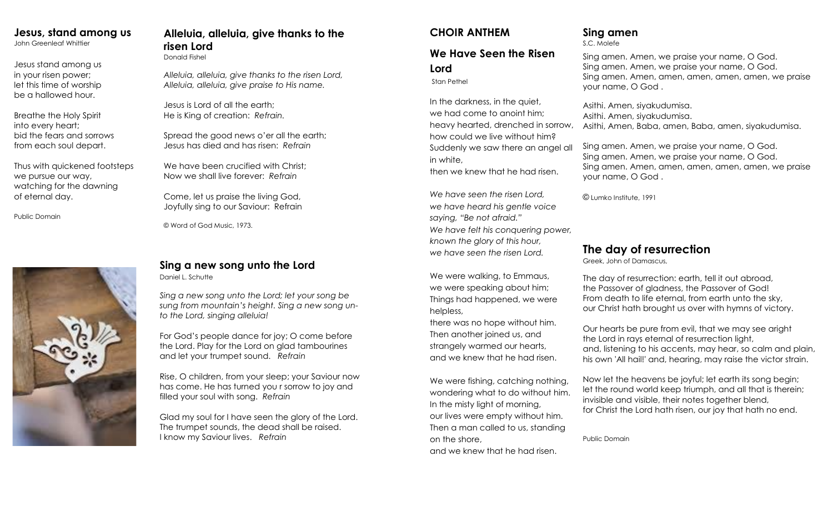# **Jesus, stand among us**

John Greenleaf Whittier

Jesus stand among us in your risen power; let this time of worship be a hallowed hour.

Breathe the Holy Spirit into every heart; bid the fears and sorrows from each soul depart.

Thus with quickened footsteps we pursue our way, watching for the dawning of eternal day.

Public Domain



# **Alleluia, alleluia, give thanks to the risen Lord**

Donald Fishel

*Alleluia, alleluia, give thanks to the risen Lord, Alleluia, alleluia, give praise to His name.*

Jesus is Lord of all the earth; He is King of creation: *Refrain.*

Spread the good news o'er all the earth; Jesus has died and has risen: *Refrain*

We have been crucified with Christ: Now we shall live forever: *Refrain*

Come, let us praise the living God, Joyfully sing to our Saviour: Refrain

© Word of God Music, 1973.

# **Sing a new song unto the Lord** Daniel L. Schutte

*Sing a new song unto the Lord; let your song be sung from mountain's height. Sing a new song unto the Lord, singing alleluia!*

For God's people dance for joy; O come before the Lord. Play for the Lord on glad tambourines and let your trumpet sound. *Refrain* 

Rise, O children, from your sleep; your Saviour now has come. He has turned you r sorrow to joy and filled your soul with song. *Refrain* 

Glad my soul for I have seen the glory of the Lord. The trumpet sounds, the dead shall be raised. I know my Saviour lives. *Refrain* 

## **CHOIR ANTHEM**

# **We Have Seen the Risen Lord**

Stan Pethel

In the darkness, in the quiet, we had come to anoint him; heavy hearted, drenched in sorrow, how could we live without him? Suddenly we saw there an angel all in white, then we knew that he had risen.

*We have seen the risen Lord, we have heard his gentle voice saying, "Be not afraid." We have felt his conquering power, known the glory of this hour, we have seen the risen Lord.*

We were walking, to Emmaus, we were speaking about him; Things had happened, we were helpless,

there was no hope without him. Then another joined us, and strangely warmed our hearts, and we knew that he had risen.

We were fishing, catching nothing, wondering what to do without him. In the misty light of morning, our lives were empty without him. Then a man called to us, standing on the shore, and we knew that he had risen.

# **Sing amen**

S.C. Molefe

Sing amen. Amen, we praise your name, O God. Sing amen. Amen, we praise your name, O God. Sing amen. Amen, amen, amen, amen, amen, we praise your name, O God .

Asithi. Amen, siyakudumisa. Asithi. Amen, siyakudumisa. Asithi, Amen, Baba, amen, Baba, amen, siyakudumisa.

Sing amen. Amen, we praise your name, O God. Sing amen. Amen, we praise your name, O God. Sing amen. Amen, amen, amen, amen, amen, we praise your name, O God .

© Lumko Institute, 1991

# **The day of resurrection**

Greek, John of Damascus,

The day of resurrection: earth, tell it out abroad, the Passover of gladness, the Passover of God! From death to life eternal, from earth unto the sky, our Christ hath brought us over with hymns of victory.

Our hearts be pure from evil, that we may see aright the Lord in rays eternal of resurrection light, and, listening to his accents, may hear, so calm and plain, his own 'All hail!' and, hearing, may raise the victor strain.

Now let the heavens be joyful; let earth its song begin; let the round world keep triumph, and all that is therein; invisible and visible, their notes together blend, for Christ the Lord hath risen, our joy that hath no end.

Public Domain